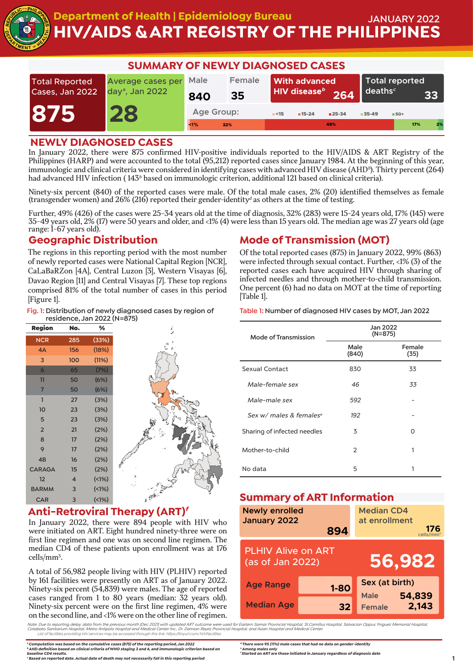

# **HIV/AIDS & ART REGISTRY OF THE PHILIPPINES Department of Health | Epidemiology Bureau JANUARY 2022**

| <b>SUMMARY OF NEWLY DIAGNOSED CASES</b>  |                                                  |                       |              |      |                                                      |                             |                                    |                |     |    |
|------------------------------------------|--------------------------------------------------|-----------------------|--------------|------|------------------------------------------------------|-----------------------------|------------------------------------|----------------|-----|----|
| <b>Total Reported</b><br>Cases, Jan 2022 | Average cases per<br>day <sup>a</sup> , Jan 2022 |                       | Female<br>35 |      | <b>With advanced</b><br>HIV disease <sup>b</sup> 264 |                             | $\blacksquare$ deaths <sup>c</sup> | Total reported |     | 33 |
| 875                                      | 28                                               | Age Group:<br>$< 1\%$ | 32%          | < 15 | $15-24$                                              | $\blacksquare$ 25-34<br>49% | $35-49$                            | $B = 50 +$     | 17% | 2% |

### **NEWLY DIAGNOSED CASES**

In January 2022, there were 875 confirmed HIV-positive individuals reported to the HIV/AIDS & ART Registry of the Philippines (HARP) and were accounted to the total (95,212) reported cases since January 1984. At the beginning of this year, immunologic and clinical criteria were considered in identifying cases with advanced HIV disease (AHD<sup>b</sup>). Thirty percent (264) had advanced HIV infection (143<sup>b</sup> based on immunologic criterion, additional 121 based on clinical criteria).

Ninety-six percent (840) of the reported cases were male. Of the total male cases, 2% (20) identified themselves as female (transgender women) and 26% (216) reported their gender-identity<sup>d</sup> as others at the time of testing.

Further, 49% (426) of the cases were 25-34 years old at the time of diagnosis, 32% (283) were 15-24 years old, 17% (145) were 35-49 years old, 2% (17) were 50 years and older, and <1% (4) were less than 15 years old. The median age was 27 years old (age range: 1-67 years old).

### **Geographic Distribution**

The regions in this reporting period with the most number of newly reported cases were National Capital Region [NCR], CaLaBaRZon [4A], Central Luzon [3], Western Visayas [6], Davao Region [11] and Central Visayas [7]. These top regions comprised 81% of the total number of cases in this period [Figure 1].

**Fig. 1: Distribution of newly diagnosed cases by region of residence, Jan 2022 (N=875)**

| <b>Region</b>       | No.                     | ℅       |
|---------------------|-------------------------|---------|
| <b>NCR</b>          | 285                     | (33%)   |
| 4A                  | 156                     | (18%)   |
| 3                   | 100                     | (11%)   |
| $\ddot{\mathbf{6}}$ | 65                      | (7%)    |
| $\mathbf{1}$        | 50                      | (6%)    |
| $\overline{7}$      | 50                      | (6%)    |
| $\mathbf{I}$        | 27                      | (3%)    |
| 10                  | 23                      | (3%)    |
| 5                   | 23                      | (3%)    |
| $\overline{2}$      | 21                      | (2%)    |
| 8                   | 17                      | (2%)    |
| 9                   | 17                      | (2%)    |
| 4B                  | 16                      | (2%)    |
| <b>CARAGA</b>       | 15                      | (2%)    |
| 12                  | $\overline{\mathbf{4}}$ | (1%)    |
| <b>BARMM</b>        | 3                       | $(1\%)$ |
| <b>CAR</b>          | 3                       | (1%)    |

### **Anti-Retroviral Therapy (ART)<sup>f</sup>**

In January 2022, there were 894 people with HIV who were initiated on ART. Eight hundred ninety-three were on first line regimen and one was on second line regimen. The median CD4 of these patients upon enrollment was at 176 cells/mm3.

A total of 56,982 people living with HIV (PLHIV) reported by 161 facilities were presently on ART as of January 2022. Ninety-six percent (54,839) were males. The age of reported cases ranged from 1 to 80 years (median: 32 years old). Ninety-six percent were on the first line regimen, 4% were on the second line, and <1% were on the other line of regimen.

Note: Due to reporting delay, data from the previous month (Dec 2021) with updated ART outcome were used for Eastern Samar Provincial Hospital, St.Camillus Hospital, Salvacion Oppus Yniguez Memorial Hospital,<br>Cotabato Sani

**<sup>a</sup>Computation was based on the cumulative cases (875) of the reporting period, Jan 2022 <sup>b</sup>AHD definition based on clinical criteria of WHO staging 3 and 4, and immunologic criterion based on baseline CD4 results. <sup>c</sup>Based on reported date. Actual date of death may not necessarily fall in this reporting period**

### **Mode of Transmission (MOT)**

Of the total reported cases (875) in January 2022, 99% (863) were infected through sexual contact. Further, <1% (3) of the reported cases each have acquired HIV through sharing of infected needles and through mother-to-child transmission. One percent (6) had no data on MOT at the time of reporting [Table 1].

**Table 1: Number of diagnosed HIV cases by MOT, Jan 2022**

| <b>Mode of Transmission</b>         | Jan 2022<br>$(N=875)$ |                |  |  |
|-------------------------------------|-----------------------|----------------|--|--|
|                                     | Male<br>(840)         | Female<br>(35) |  |  |
| Sexual Contact                      | 830                   | 33             |  |  |
| Male-female sex                     | 46                    | 33             |  |  |
| Male-male sex                       | 592                   |                |  |  |
| Sex w/ males & females <sup>e</sup> | 192                   |                |  |  |
| Sharing of infected needles         | 3                     | O              |  |  |
| Mother-to-child                     | $\mathfrak{D}$        | 1              |  |  |
| No data                             | 5                     | 1              |  |  |

### **Summary of ART Information**

| ,,,,,,,,,,,<br><b>Newly enrolled</b><br>January 2022    | 894      | <b>Median CD4</b><br>at enrollment | 176<br>cells/mm <sup>3</sup> |  |
|---------------------------------------------------------|----------|------------------------------------|------------------------------|--|
| <b>PLHIV Alive on ART</b><br>56,982<br>(as of Jan 2022) |          |                                    |                              |  |
| <b>Age Range</b>                                        | $1 - 80$ | Sex (at birth)<br><b>Male</b>      |                              |  |
| <b>Median Age</b>                                       | 32       | <b>Female</b>                      | 54,839<br>2,143              |  |

**<sup>d</sup>There were 95 (11%) male cases that had no data on gender-identity**

**<sup>e</sup>Among males only <sup>f</sup>Started on ART are those initiated in January regardless of diagnosis date**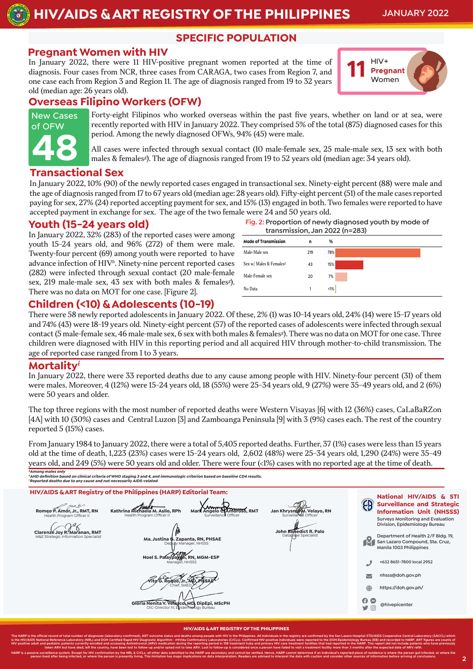**HIV/AIDS & ART REGISTRY OF THE PHILIPPINES JANUARY 2022**

**SPECIFIC POPULATION**

#### **Pregnant Women with HIV**

In January 2022, there were 11 HIV-positive pregnant women reported at the time of diagnosis. Four cases from NCR, three cases from CARAGA, two cases from Region 7, and one case each from Region 3 and Region 11. The age of diagnosis ranged from 19 to 32 years old (median age: 26 years old).



### **Overseas Filipino Workers (OFW)**



Forty-eight Filipinos who worked overseas within the past five years, whether on land or at sea, were recently reported with HIV in January 2022. They comprised 5% of the total (875) diagnosed cases for this period. Among the newly diagnosed OFWs, 94% (45) were male.

All cases were infected through sexual contact (10 male-female sex, 25 male-male sex, 13 sex with both males & females<sup>g</sup>). The age of diagnosis ranged from 19 to 52 years old (median age: 34 years old).

#### **Transactional Sex**

In January 2022, 10% (90) of the newly reported cases engaged in transactional sex. Ninety-eight percent (88) were male and the age of diagnosis ranged from 17 to 67 years old (median age: 28 years old). Fifty-eight percent (51) of the male cases reported paying for sex, 27% (24) reported accepting payment for sex, and 15% (13) engaged in both. Two females were reported to have accepted payment in exchange for sex. The age of the two female were 24 and 50 years old.

#### **Youth (15-24 years old)**

In January 2022, 32% (283) of the reported cases were among youth 15-24 years old, and 96% (272) of them were male. Twenty-four percent (69) among youth were reported to have advance infection of HIV<sup>h</sup>. Ninety-nine percent reported cases (282) were infected through sexual contact (20 male-female sex, 219 male-male sex, 43 sex with both males & females<sup>g</sup>). There was no data on MOT for one case. [Figure 2].

| Fig. 2: Proportion of newly diagnosed youth by mode of |  |
|--------------------------------------------------------|--|
| transmission. Jan 2022 (n=283)                         |  |



#### **Children (<10) & Adolescents (10-19)**

There were 58 newly reported adolescents in January 2022. Of these, 2% (1) was 10-14 years old, 24% (14) were 15-17 years old and 74% (43) were 18-19 years old. Ninety-eight percent (57) of the reported cases of adolescents were infected through sexual contact (5 male-female sex, 46 male-male sex, 6 sex with both males & females<sup>g</sup>). There was no data on MOT for one case. Three children were diagnosed with HIV in this reporting period and all acquired HIV through mother-to-child transmission. The age of reported case ranged from 1 to 3 years.

#### **Mortality<sup>i</sup>**

In January 2022, there were 33 reported deaths due to any cause among people with HIV. Ninety-four percent (31) of them were males. Moreover, 4 (12%) were 15-24 years old, 18 (55%) were 25-34 years old, 9 (27%) were 35-49 years old, and 2 (6%) were 50 years and older.

The top three regions with the most number of reported deaths were Western Visayas [6] with 12 (36%) cases, CaLaBaRZon [4A] with 10 (30%) cases and Central Luzon [3] and Zamboanga Peninsula [9] with 3 (9%) cases each. The rest of the country reported 5 (15%) cases.

From January 1984 to January 2022, there were a total of 5,405 reported deaths. Further, 37 (1%) cases were less than 15 years old at the time of death, 1,223 (23%) cases were 15-24 years old, 2,602 (48%) were 25-34 years old, 1,290 (24%) were 35-49 years old, and 249 (5%) were 50 years old and older. There were four (<1%) cases with no reported age at the time of death.

**<sup>g</sup>Among males only <sup>h</sup>AHD definition based on clinical criteria of WHO staging 3 and 4, and immunologic criterion based on baseline CD4 results. <sup>i</sup>Reported deaths due to any cause and not necessarily AIDS-related**

**HIV/AIDS & ART Registry of the Philippines (HARP) Editorial Team: National HIV/AIDS & STI Surveillance and Strategic**   $\sim$ Health Program Officer II **Kathrina Michaela M. Asilo, RPh Romeo P. Amor, Jr., RMT, RN Jan Khrysner M. Velayo, RN**<br>Surveillance Officer **Information Unit (NHSSS) Mark Angelo C. Amoroso, RMT**<br>Surveillance Officer **Surveys Monitoring and Evaluation Division, Epidemiology Bureau Clarenze Joy R. Maranan, RMT Clarenze John Benedict R. Palo** M&E Strategic Information Specialist **Database Specialist** Database Specialist Database Specialist Database Specialist **Department of Health 2/F Bldg. 19,**  Justina **G.** Zapanta, RN, PHSAE  $\mathbf{R}_1$ **San Lazaro Compound, Sta. Cruz, Manila 1003 Philippines RN, MGM-ESI** phone **+632 8651-7800 local 2952** Manager, NHSSS endon.gov.ph **Vito G. Roque, Jr., MD, PHSAE** globe **https:**//**doh.gov.ph**/ **a @hivepicenter Gloria Nenita V. Velasco, MD, DipEpi, MScPH**  $\blacksquare$ OIC-Director IV, Epidemiology Bureau

#### **HIV/AIDS & ART REGISTRY OF THE PHILIPPINES**

The HARP is the official record of total number of diagnoses (laboratory-confirmed), ART outcome status and deaths among people with HIV in the Philippines. All individuals in the registry are confirmed by the San Lazaro H is the HIV/AIDS National Reference Laboratory (NRL) and DOH Certified Rapid HIV Diagnostic Algorithm - rHIVda Confirmatory Laboratories (CrCLs). Confirmed HIV-positive individuals were reported to the DOH-Epidemiology Bure HIV positive adult and pediatric patients currently enrolled and accessing Antiretroviral (ARV) medication during the reporting period in 158 treatment hubs and primary HIV care treatment facilities that had reported in th taken ARV but have died, left the country, have been lost to follow-up and/or opted not to take ARV. Lost to follow-up is considered once a person have failed to visit a treatment facility more than 3 months after the expe HARP is a passive surveillance system. Except for HIV confirmation by the NRL & CrCLs, all other data submitted to the HARP are secondary and cannot be verified. Hence, HARP cannot determine if an individual's reported pla person lived after being infected, or where the person is presently living. This limitation has major implications on data interpretation. Readers are advised to interpret the data with caution and consider other sources o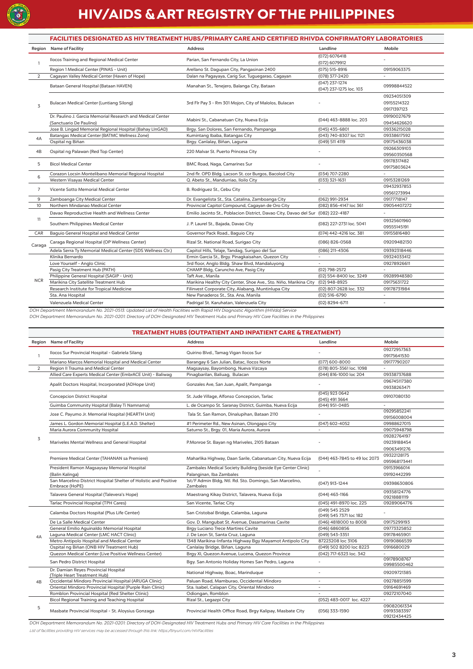

## **HIV/AIDS & ART REGISTRY OF THE PHILIPPINES**

|                 | FACILITIES DESIGNATED AS HIV TREATMENT HUBS/PRIMARY CARE AND CERTIFIED RHIVDA CONFIRMATORY LABORATORIES |                                                                                  |                                           |                                           |  |  |  |
|-----------------|---------------------------------------------------------------------------------------------------------|----------------------------------------------------------------------------------|-------------------------------------------|-------------------------------------------|--|--|--|
|                 | Region Name of Facility                                                                                 | <b>Address</b>                                                                   | Landline                                  | Mobile                                    |  |  |  |
| 1               | Ilocos Training and Regional Medical Center                                                             | Parian, San Fernando City, La Union                                              | (072) 6076418<br>(072) 6079912            |                                           |  |  |  |
|                 | Region 1 Medical Center (PINAS - Unit)                                                                  | Arellano St. Dagupan City, Pangasinan 2400                                       | (075) 515-8916                            | 09159063375                               |  |  |  |
| $\overline{2}$  | Cagayan Valley Medical Center (Haven of Hope)                                                           | Dalan na Pagayaya, Carig Sur, Tuguegarao, Cagayan                                | (078) 377-2420                            | $\sim$                                    |  |  |  |
|                 | Bataan General Hospital (Bataan HAVEN)                                                                  | Manahan St., Tenejero, Balanga City, Bataan                                      | (047) 237-1274<br>(047) 237-1275 loc. 103 | 09998844522                               |  |  |  |
| 3               | Bulacan Medical Center (Luntiang Silong)                                                                | 3rd Flr Pay 3 - Rm 301 Mojon, City of Malolos, Bulacan                           |                                           | 09234051309<br>09155214322<br>09171397123 |  |  |  |
|                 | Dr. Paulino J. Garcia Memorial Research and Medical Center<br>(Sanctuario De Paulino)                   | Mabini St., Cabanatuan City, Nueva Ecija                                         | (044) 463-8888 loc. 203                   | 09190027679<br>09454626620                |  |  |  |
|                 | Jose B. Lingad Memorial Regional Hospital (Bahay LInGAD)                                                | Brgy. San Dolores, San Fernando, Pampanga                                        | $(045)$ 435-6801                          | 09336215028                               |  |  |  |
| 4A              | Batangas Medical Center (BATMC Wellness Zone)                                                           | Kumintang Ibaba, Batangas City                                                   | (043) 740-8307 loc 1121                   | 09338617592                               |  |  |  |
|                 | Ospital ng Biñan                                                                                        | Brgy. Canlalay, Biñan, Laguna                                                    | (049) 511 4119                            | 09175436038                               |  |  |  |
| 4B              | Ospital ng Palawan (Red Top Center)                                                                     | 220 Malvar St. Puerto Princesa City                                              |                                           | 09266309103                               |  |  |  |
|                 |                                                                                                         |                                                                                  |                                           | 09560350568                               |  |  |  |
| 5               | <b>Bicol Medical Center</b>                                                                             | BMC Road, Naga, Camarines Sur                                                    |                                           | 09178317482<br>09175803624                |  |  |  |
| 6               | Corazon Locsin Montelibano Memorial Regional Hospital                                                   | 2nd flr. OPD Bldg. Lacson St. cor Burgos, Bacolod City                           | (034) 707-2280                            |                                           |  |  |  |
|                 | Western Visayas Medical Center                                                                          | Q. Abeto St., Mandurriao, Iloilo City                                            | (033) 321-1631                            | 09153281269                               |  |  |  |
| $\overline{7}$  | Vicente Sotto Memorial Medical Center                                                                   | B. Rodriguez St., Cebu City                                                      | $\overline{a}$                            | 09432937853<br>09561273994                |  |  |  |
| 9               | Zamboanga City Medical Center                                                                           | Dr. Evangelista St., Sta. Catalina, Zamboanga City                               | (062) 991-2934                            | 09177718147                               |  |  |  |
| 10 <sup>°</sup> | Northern Mindanao Medical Center                                                                        | Provincial Capitol Compound, Cagayan de Oro City                                 | (082) 856-4147 loc 361                    | 09054407272                               |  |  |  |
|                 | Davao Reproductive Health and Wellness Center                                                           | Emilio Jacinto St., Poblacion District, Davao City, Davao del Sur (082) 222-4187 |                                           |                                           |  |  |  |
| 11              | Southern Philippines Medical Center                                                                     | J. P. Laurel St., Bajada, Davao City                                             | (082) 227-2731 loc. 5041                  | 09325601960<br>09555145191                |  |  |  |
| CAR             | Baquio General Hospital and Medical Center                                                              | Governor Pack Road., Baguio City                                                 | (074) 442-4216 loc. 381                   | 09155816480                               |  |  |  |
| Caraga          | Caraga Regional Hospital (OP Wellness Center)                                                           | Rizal St. National Road, Surigao City                                            | (086) 826-0568                            | 09209482130                               |  |  |  |
|                 | Adela Serra Ty Memorial Medical Center (SDS Wellness Ctr.)                                              | Capitol Hills, Telaje, Tandag, Surigao del Sur                                   | (086) 211-4306                            | 09392318446                               |  |  |  |
|                 | Klinika Bernardo                                                                                        | Ermin Garcia St., Brgy. Pinagkaisahan, Quezon City                               | $\bar{a}$                                 | 09324033412                               |  |  |  |
|                 | Love Yourself - Anglo Clinic                                                                            | 3rd floor, Anglo Bldg. Shaw Blvd, Mandaluyong                                    |                                           | 09278926611                               |  |  |  |
|                 | Pasig City Treatment Hub (PATH)                                                                         | CHAMP Bldg, Caruncho Ave, Pasig City                                             | (02) 798-2572                             |                                           |  |  |  |
|                 | Philippine General Hospital (SAGIP - Unit)                                                              | Taft Ave., Manila                                                                | (02) 554-8400 loc. 3249                   | 09289948380                               |  |  |  |
| <b>NCR</b>      | Marikina City Satellite Treatment Hub                                                                   | Marikina Healthy City Center, Shoe Ave., Sto. Niño, Marikina City (02) 948-8925  |                                           | 09175631722                               |  |  |  |
|                 | Research Institute for Tropical Medicine                                                                | Filinvest Corporate City, Alabang, Muntinlupa City                               | (02) 807-2628 loc. 332                    | 09178731984                               |  |  |  |
|                 | Sta. Ana Hospital                                                                                       | New Panaderos St., Sta. Ana, Manila                                              | (02) 516-6790                             |                                           |  |  |  |
|                 | Valenzuela Medical Center                                                                               | Padrigal St. Karuhatan, Valenzuela City                                          | (02) 8294-6711                            |                                           |  |  |  |

DOH Department Memorandum No. 2021-0513: Updated List of Health Facilities with Rapid HIV Diagnostic Algorithm (rHIVda) Service

DOH Department Memorandum No. 2021-0201: Directory of DOH-Designated HIV Treatment Hubs and Primary HIV Care Facilities in the Philippines

|                | <b>TREATMENT HUBS (OUTPATIENT AND INPATIENT CARE &amp; TREATMENT)</b>              |                                                                                          |                                          |                                           |  |  |  |
|----------------|------------------------------------------------------------------------------------|------------------------------------------------------------------------------------------|------------------------------------------|-------------------------------------------|--|--|--|
|                | Region Name of Facility                                                            | <b>Address</b>                                                                           | Landline                                 | Mobile                                    |  |  |  |
| $\mathbf{1}$   | Ilocos Sur Provincial Hospital - Gabriela Silang                                   | Quirino Blvd., Tamag Vigan Ilocos Sur                                                    |                                          | 09272957363<br>09175641530                |  |  |  |
|                | Mariano Marcos Memorial Hospital and Medical Center                                | Barangay 6 San Julian, Batac, Ilocos Norte                                               | (077) 600-8000                           | 09177790207                               |  |  |  |
| $\overline{2}$ | Region II Trauma and Medical Center                                                | Magsaysay, Bayombong, Nueva Vizcaya                                                      | (078) 805-3561 loc. 1098                 |                                           |  |  |  |
|                | Allied Care Experts Medical Center (EmbrACE Unit) - Baliwag                        | Pinagbarilan, Baliuag, Bulacan                                                           | (044) 816-1000 loc 204                   | 09338737688                               |  |  |  |
|                | Apalit Doctors Hospital, Incorporated (ADHope Unit)                                | Gonzales Ave, San Juan, Apalit, Pampanga                                                 | $\sim$                                   | 096745117380<br>09338263471               |  |  |  |
|                | <b>Concepcion District Hospital</b>                                                | St. Jude Village, Alfonso Concepcion, Tarlac                                             | $(045)$ 923 0642<br>(045) 491 3664       | 09107080130                               |  |  |  |
|                | Guimba Community Hospital (Balay Ti Namnama)                                       | L. de Ocampo St. Saranay District, Guimba, Nueva Ecija                                   | (044) 951-0485                           |                                           |  |  |  |
|                | Jose C. Payumo Jr. Memorial Hospital (HEARTH Unit)                                 | Tala St. San Ramon, Dinalupihan, Bataan 2110                                             | $\sim$                                   | 09295852241<br>09156008004                |  |  |  |
|                | James L. Gordon Memorial Hospital (L.E.A.D. Shelter)                               | #1 Perimeter Rd., New Asinan, Olongapo City                                              | (047) 602-4052                           | 09988627015                               |  |  |  |
|                | Maria Aurora Community Hospital                                                    | Saturno St., Brgy. 01, Maria Aurora, Aurora                                              | $\sim$                                   | 09075948798                               |  |  |  |
| 3              | Mariveles Mental Wellness and General Hospital                                     | P.Monroe St. Bayan ng Mariveles, 2105 Bataan                                             |                                          | 09282764197<br>09239188454<br>09063491276 |  |  |  |
|                | Premiere Medical Center (TAHANAN sa Premiere)                                      | Maharlika Highway, Daan Sarile, Cabanatuan City, Nueva Ecija                             | (044) 463-7845 to 49 loc 2073            | 09322128175<br>095968173441               |  |  |  |
|                | President Ramon Magsaysay Memorial Hospital<br>(Balin Kalinga)                     | Zambales Medical Society Building (beside Eye Center Clinic)<br>Palanginan, Iba Zambales |                                          | 09153966014<br>09192442299                |  |  |  |
|                | San Marcelino District Hospital Shelter of Holistic and Positive<br>Embrace (HoPE) | 1st/F Admin Bldg, Ntl. Rd. Sto. Domingo, San Marcelino,<br>Zambales                      | (047) 913-1244                           | 09398630806                               |  |  |  |
|                | Talavera General Hospital (Talevera's Hope)                                        | Maestrang Kikay District, Talavera, Nueva Ecija                                          | (044) 463-1166                           | 09358124776<br>09218881119                |  |  |  |
|                | Tarlac Provincial Hospital (TPH Cares)                                             | San Vicente, Tarlac City                                                                 | (045) 491-8970 loc. 225                  | 09289064776                               |  |  |  |
|                | Calamba Doctors Hospital (Plus Life Center)                                        | San Cristobal Bridge, Calamba, Laguna                                                    | (049) 545 2529<br>(049) 545 7371 loc 182 | $\overline{\phantom{a}}$                  |  |  |  |
|                | De La Salle Medical Center                                                         | Gov. D. Mangubat St. Avenue, Dasamarinas Cavite                                          | (046) 4818000 to 8008                    | 09175299193                               |  |  |  |
|                | General Emilio Aguinaldo Memorial Hospital                                         | Brgy Luciano Trece Martires Cavite                                                       | (046) 6860856                            | 09773325852                               |  |  |  |
| 4A             | Laguna Medical Center (LMC HACT Clinic)                                            | J. De Leon St, Santa Cruz, Laguna                                                        | (049) 543-3351                           | 09178465901                               |  |  |  |
|                | Metro Antipolo Hospital and Medical Center                                         | 1348 Marikina-Infanta Highway Bgy Mayamot Antipolo City                                  | 87223208 loc 3106                        | 09190866539                               |  |  |  |
|                | Ospital ng Biñan (ONB HIV Treatment Hub)                                           | Canlalay Bridge, Biñan, Laguna                                                           | (049) 502 8200 loc 8223                  | 0916680029                                |  |  |  |
|                | Quezon Medical Center (Live Positive Wellness Center)                              | Brgy XI, Quezon Avenue, Lucena, Quezon Province                                          | (042) 717-6323 loc. 342                  |                                           |  |  |  |
|                | San Pedro District Hospital                                                        | Bgy. San Antonio Holiday Homes San Pedro, Laguna                                         | $\overline{\phantom{a}}$                 | 09178908767<br>09985500462                |  |  |  |
|                | Dr. Damian Reyes Provincial Hospital<br>(Triple Heart Treatment Hub)               | National Highway, Boac, Marinduque                                                       | ÷.                                       | 09209721385                               |  |  |  |
| 4B             | Occidental Mindoro Provincial Hospital (ARUGA Clinic)                              | Paluan Road, Mamburao, Occidental Mindoro                                                | $\sim$                                   | 09278851599                               |  |  |  |
|                | Oriental Mindoro Provincial Hospital (Purple Rain Clinic)                          | Sta. Isabel, Calapan City, Oriental Mindoro                                              | $\sim$                                   | 09164691469                               |  |  |  |
|                | Romblon Provincial Hospital (Red Shelter Ctinic)                                   | Odiongan, Romblon                                                                        |                                          | 09272107040                               |  |  |  |
|                | Bicol Regional Training and Teaching Hospital                                      | Rizal St., Legazpi City                                                                  | (052) 483-0017 loc. 4227                 |                                           |  |  |  |
| 5              | Masbate Provincial Hospital - St. Aloysius Gonzaga                                 | Provincial Health Office Road, Brgy Kalipay, Masbate City                                | (056) 333-1590                           | 09082061334<br>09193383397<br>09212434425 |  |  |  |

DOH Department Memorandum No. 2021-0201: Directory of DOH-Designated HIV Treatment Hubs and Primary HIV Care Facilities in the Philippines

*List of facilities providing HIV services may be accessed through this link: https:/tinyurl.com/HIVFacilities*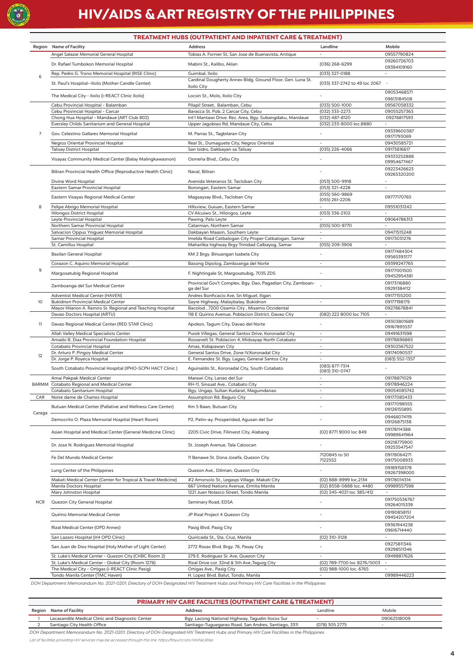

# **HIV/AIDS & ART REGISTRY OF THE PHILIPPINES**

|                 | <b>TREATMENT HUBS (OUTPATIENT AND INPATIENT CARE &amp; TREATMENT)</b>                                        |                                                                                                            |                                                       |                                         |  |  |  |
|-----------------|--------------------------------------------------------------------------------------------------------------|------------------------------------------------------------------------------------------------------------|-------------------------------------------------------|-----------------------------------------|--|--|--|
|                 | Region Name of Facility                                                                                      | <b>Address</b>                                                                                             | Landline                                              | Mobile                                  |  |  |  |
|                 | Angel Salazar Memorial General Hospital                                                                      | Tobias A. Fornier St, San Jose de Buenavista, Antique                                                      | $\sim$                                                | 09557790824                             |  |  |  |
|                 | Dr. Rafael Tumbokon Memorial Hospital                                                                        | Mabini St., Kalibo, Aklan                                                                                  | (036) 268-6299                                        | 09260726703<br>09394109160              |  |  |  |
| 6               | Rep. Pedro G. Trono Memorial Hospital (RISE Clinic)                                                          | Guimbal, Iloilo                                                                                            | (033) 327-0188                                        |                                         |  |  |  |
|                 | St. Paul's Hospital-Iloilo (Mother Candle Center)                                                            | Cardinal Dougherty Annex Bldg. Ground Floor, Gen. Luna St.<br>Iloilo City                                  | (033) 337-2742 to 49 loc 2067                         |                                         |  |  |  |
|                 | The Medical City - Iloilo (i-REACT Clinic Iloilo)                                                            | Locsin St., Molo, Iloilo City                                                                              |                                                       | 09053468571<br>09613184508              |  |  |  |
|                 | Cebu Provincial Hospital - Balamban                                                                          | Pilapil Street, Balamban, Cebu                                                                             | (033) 500-1000                                        | 09567058332                             |  |  |  |
|                 | Cebu Provincial Hospital - Carcar<br>Chong Hua Hospital - Mandaue (ART Club 802)                             | Baracca St. Pob. 2 Carcar City, Cebu<br>Int'l Mantawi Drive. Rec. Area, Bgy. Subangdaku, Mandaue           | (032) 333-2273<br>(032) 487-8120                      | 09055257363<br>09276817593              |  |  |  |
|                 | Eversley Childs Sanitarium and General Hospital                                                              | Upper Jagobiao Rd, Mandaue City, Cebu                                                                      | (032) 233-8000 loc.8880                               | ÷,                                      |  |  |  |
| 7               | Gov. Celestino Gallares Memorial Hospital                                                                    | M. Parras St., Tagbilaran City                                                                             |                                                       | 09339600387<br>09171793069              |  |  |  |
|                 | Negros Oriental Provincial Hospital<br><b>Talisay District Hospital</b>                                      | Real St., Dumaquete City, Negros Oriental<br>San Isidro, Dakbayan sa Talisay                               | $\sim$<br>(035) 226-4066                              | 09430585721<br>09173816617              |  |  |  |
|                 | Visayas Community Medical Center (Balay Malingkawasnon)                                                      | Osmeña Blvd., Cebu City                                                                                    |                                                       | 09333252888                             |  |  |  |
|                 |                                                                                                              |                                                                                                            |                                                       | 09954677467                             |  |  |  |
|                 | Biliran Provincial Health Office (Reproductive Health Clinic)                                                | Naval, Biliran                                                                                             |                                                       | 09223426623<br>09265320200              |  |  |  |
|                 | Divine Word Hospital                                                                                         | Avenida Veteranos St. Tacloban City                                                                        | (053) 500-9918                                        |                                         |  |  |  |
|                 | Eastern Samar Provincial Hospital                                                                            | Borongan, Eastern Samar                                                                                    | (053) 321-4228<br>(055) 560-9869                      | ä,                                      |  |  |  |
|                 | Eastern Visayas Regional Medical Center                                                                      | Magsaysay Blvd., Tacloban City                                                                             | (055) 261-2206                                        | 09777170765                             |  |  |  |
| 8               | Felipe Abrigo Memorial Hospital                                                                              | Hillsview, Guiuan, Eastern Samar                                                                           | $\bar{\phantom{a}}$                                   | 09551031242                             |  |  |  |
|                 | <b>Hilongos District Hospital</b><br>Leyte Provincial Hospital                                               | CV Alcuiwo St., Hilongos, Leyte<br>Pawing, Palo Leyte                                                      | (053) 336-2102                                        | ÷.<br>09064786313                       |  |  |  |
|                 | Northern Samar Provincial Hospital                                                                           | Catarman, Northern Samar                                                                                   | (055) 500-9770                                        | $\mathcal{L}_{\mathcal{A}}$             |  |  |  |
|                 | Salvacion Oppus Yniguez Memorial Hospital<br><b>Samar Provincial Hospital</b>                                | Dakbayan Maasin, Southern Leyte                                                                            | $\overline{\phantom{a}}$<br>$\sim$                    | 09471515248                             |  |  |  |
|                 | St. Camillus Hospital                                                                                        | Imelda Road Catbalogan City Proper Catbalogan, Samar<br>Maharlika highway Brgy Trinidad Calbayog, Samar    | (055) 209-3906                                        | 09173031276<br>÷.                       |  |  |  |
|                 | <b>Basilan General Hospital</b>                                                                              | KM 2 Brgy. Binuangan Isabela City                                                                          | $\sim$                                                | 09177484304                             |  |  |  |
|                 | Corazon C. Aquino Memorial Hospital                                                                          | Basong Dipolog, Zamboanga del Norte                                                                        | $\sim$                                                | 09565393177<br>09399247765              |  |  |  |
| 9               |                                                                                                              |                                                                                                            |                                                       | 09177001500                             |  |  |  |
|                 | Margosatubig Regional Hospital                                                                               | F. Nightingale St, Margosatubig, 7035 ZDS                                                                  |                                                       | 09452954381                             |  |  |  |
|                 | Zamboanga del Sur Medical Center                                                                             | Provincial Gov't Complex, Bgy. Dao, Pagadian City, Zamboan-<br>ga del Sur                                  |                                                       | 09173116880<br>09291384112              |  |  |  |
| 10 <sup>°</sup> | Adventist Medical Center (HAVEN)<br><b>Bukidnon Provincial Medical Center</b>                                | Andres Bonficacio Ave, Sn Miguel, Iligan<br>Sayre Highway, Malaybalay, Bukidnon                            | $\omega$                                              | 09177155200<br>09177198179              |  |  |  |
|                 | Mayor Hilarion A. Ramiro Sr. Regional and Teaching Hospital                                                  | Bacolod, 7200 Ozamis City, Misamis Occidental                                                              |                                                       | 09278678841                             |  |  |  |
|                 | Davao Doctors Hospital (ARTU)                                                                                | 118 E Quirino Avenue, Poblacion District, Davao City                                                       | (082) 222 8000 loc 7105                               | ä,                                      |  |  |  |
| 11              | Davao Regional Medical Center (RED STAR Clinic)                                                              | Apokon, Tagum City, Davao del Norte                                                                        | $\overline{\phantom{a}}$                              | 09303801689<br>09167895537              |  |  |  |
|                 | Allah Valley Medical Specialists Center<br>Amado B. Diaz Provincial Foundation Hospital                      | Purok Villegas, General Santos Drive, Koronadal City<br>Roosevelt St. Poblacion 4, Midsayap North Cotabato | $\sim$<br>$\omega$                                    | 09491631598<br>09178696865              |  |  |  |
|                 | Cotabato Provincial Hospital                                                                                 | Amas, Kidapawan City                                                                                       | $\sim$                                                | 09302567522                             |  |  |  |
| 12              | Dr. Arturo P. Pingoy Medical Center                                                                          | General Santos Drive, Zone IV, Koronadal City                                                              | $\sim$                                                | 09174090537                             |  |  |  |
|                 | Dr. Jorge P. Royeca Hospital                                                                                 | E. Fernandez St. Bgy. Lagao, General Santos City                                                           | $\omega$<br>(083) 877-7314                            | (083) 552-1357                          |  |  |  |
|                 | South Cotabato Provincial Hospital (IPHO-SCPH HACT Clinic)                                                   | Aguinaldo St., Koronadal City, South Cotabato                                                              | (083) 310-0747                                        |                                         |  |  |  |
|                 | Amai Pakpak Medical Center<br>BARMM Cotabato Regional and Medical Center                                     | Marawi City, Lanao del Sur<br>RH-11, Sinsuat Ave., Cotabato City                                           | $\sim$                                                | 09178871029<br>09178946224              |  |  |  |
|                 | Cotabato Sanitarium Hospital                                                                                 | Bgy. Ungap, Sultan Kudarat, Maguindanao                                                                    |                                                       | 09054085742                             |  |  |  |
| CAR             | Notre dame de Chartes Hospital                                                                               | Assumption Rd. Baguio City                                                                                 |                                                       | 09177085433                             |  |  |  |
| Caraga          | Butuan Medical Center (Pallative and Wellness Care Center)                                                   | Km 5 Baan, Butuan City                                                                                     |                                                       | 09177098555<br>09126155895              |  |  |  |
|                 | Democrito O. Plaza Memorial Hospital (Heart Room)                                                            | P2, Patin-ay, Prosperidad, Agusan del Sur                                                                  |                                                       | 09466074119<br>09126875138              |  |  |  |
|                 | Asian Hospital and Medical Center (General Medicine Clinic)                                                  | 2205 Civic Drive, Filinvest City, Alabang                                                                  | (02) 8771 9000 loc 849                                | 09178114388<br>09989641964              |  |  |  |
|                 | Dr. Jose N. Rodriguez Memorial Hospital                                                                      | St. Joseph Avenue, Tala Caloocan                                                                           |                                                       | 09218775900<br>09253547547              |  |  |  |
|                 | Fe Del Mundo Medical Center                                                                                  | 11 Banawe St. Dona Josefa, Quezon City                                                                     | 7120845 to 50<br>7122552                              | 09178064271<br>09175008933              |  |  |  |
|                 | Lung Center of the Philippines                                                                               | Quezon Ave., Diliman, Quezon City                                                                          |                                                       | 09189158378<br>09267398000              |  |  |  |
|                 | Makati Medical Center (Center for Tropical & Travel Medicine)                                                | #2 Amorsolo St., Legaspi Village, Makati City                                                              | (02) 888-8999 loc.2134                                | 09178014314                             |  |  |  |
|                 | Manila Doctors Hospital<br>Mary Johnston Hospital                                                            | 667 United Nations Avenue, Ermita Manila<br>1221 Juan Nolasco Street, Tondo Manila                         | (02) 8558-0888 loc. 4480<br>(02) 245-4021 loc 385/412 | 09989557598<br>$\sim$                   |  |  |  |
| <b>NCR</b>      |                                                                                                              |                                                                                                            |                                                       | 091750536767                            |  |  |  |
|                 | Quezon City General Hospital                                                                                 | Seminary Road, EDSA                                                                                        |                                                       | 09264015339<br>09190858151              |  |  |  |
|                 | Quirino Memorial Medical Center                                                                              | JP Rizal Project 4 Quezon City                                                                             |                                                       | 09454207204<br>09361944238              |  |  |  |
|                 | Rizal Medical Center (OPD Annex)                                                                             | Pasig Blvd, Pasig City                                                                                     |                                                       | 09616714440                             |  |  |  |
|                 | San Lazaro Hospital (H4 OPD Clinic)                                                                          | Quiricada St., Sta. Cruz, Manila                                                                           | (02) 310-3128                                         | 09275811346                             |  |  |  |
|                 | San Juan de Dios Hospital (Holy Mother of Light Center)                                                      | 2772 Roxas Blvd. Brgy. 76, Pasay City                                                                      |                                                       | 09298511346                             |  |  |  |
|                 | St. Luke's Medical Center - Quezon City (CHBC Room 2)<br>St. Luke's Medical Center - Global City (Room 1276) | 279 E. Rodriguez Sr. Ave, Quezon City<br>Rizal Drive cor. 32nd & 5th Ave., Taguig City                     | (02) 789-7700 loc 8276/5003                           | 09498817626<br>$\overline{\phantom{a}}$ |  |  |  |
|                 | The Medical City - Ortigas (i-REACT Clinic Pasig)                                                            | Ortigas Ave., Pasig City                                                                                   | (02) 988-1000 loc. 6765                               |                                         |  |  |  |
|                 | Tondo Manila Center (TMC Haven)                                                                              | H. Lopez Blvd. Balut, Tondo, Manila                                                                        |                                                       | 09989446223                             |  |  |  |

DOH Department Memorandum No. 2021-0201: Directory of DOH-Designated HIV Treatment Hubs and Primary HIV Care Facilities in the Philippines

| <b>PRIMARY HIV CARE FACILITIES (OUTPATIENT CARE &amp; TREATMENT)</b> |                                                  |                                                      |                |             |  |  |
|----------------------------------------------------------------------|--------------------------------------------------|------------------------------------------------------|----------------|-------------|--|--|
|                                                                      | Region Name of Facility                          | <b>Address</b>                                       | Landline       | Mobile      |  |  |
|                                                                      | Lacasandile Medical Clinic and Diagnostic Center | Bgy. Lacong National Highway, Tagudin Ilocos Sur     |                | 09062518009 |  |  |
|                                                                      | Santiago City Health Office                      | Santiago-Tuguegarao Road, San Andres, Santiago, 3311 | (078) 305 2775 |             |  |  |

DOH Department Memorandum No. 2021-0201: Directory of DOH-Designated HIV Treatment Hubs and Primary HIV Care Facilities in the Philippines

*List of facilities providing HIV services may be accessed through this link: https:/tinyurl.com/HIVFacilities*